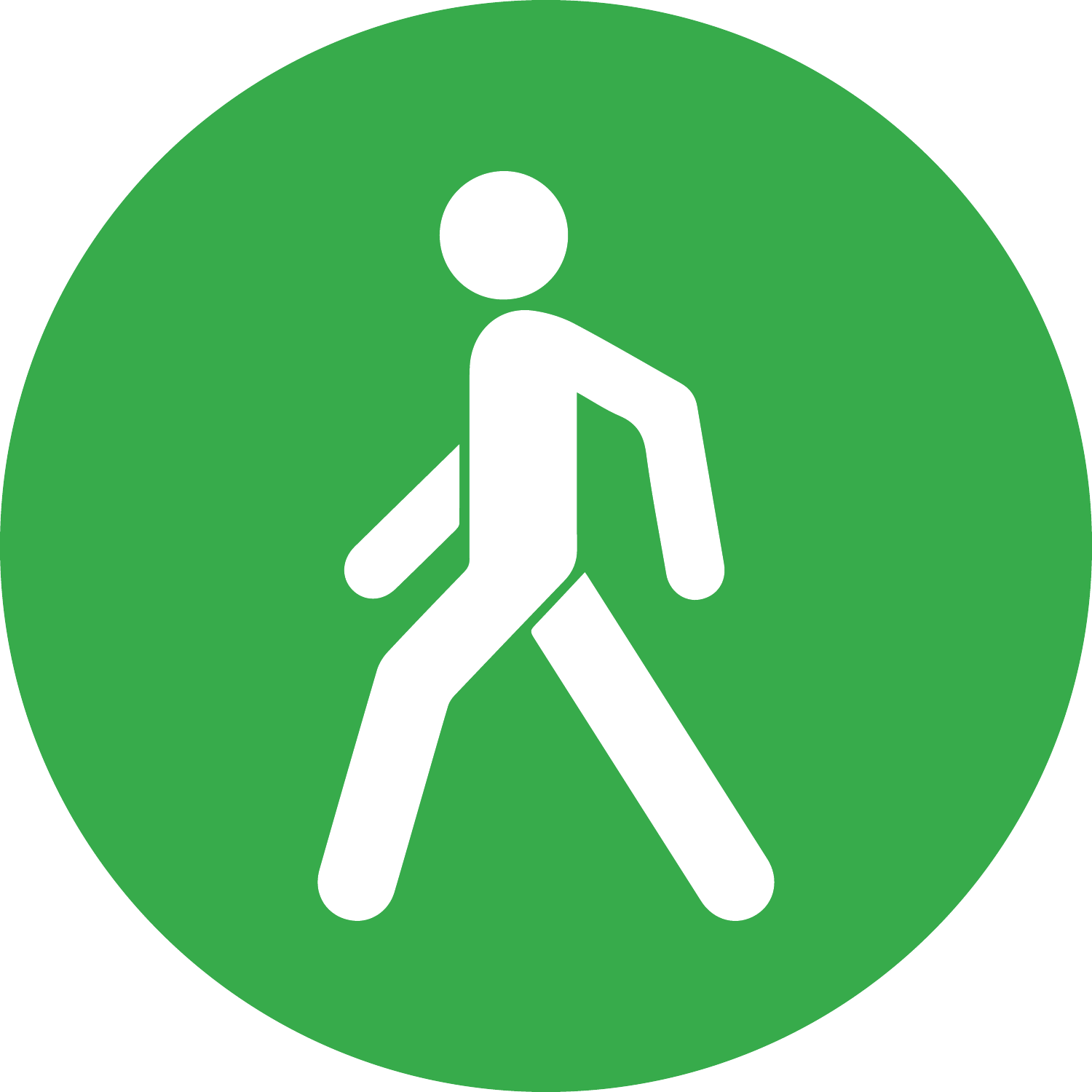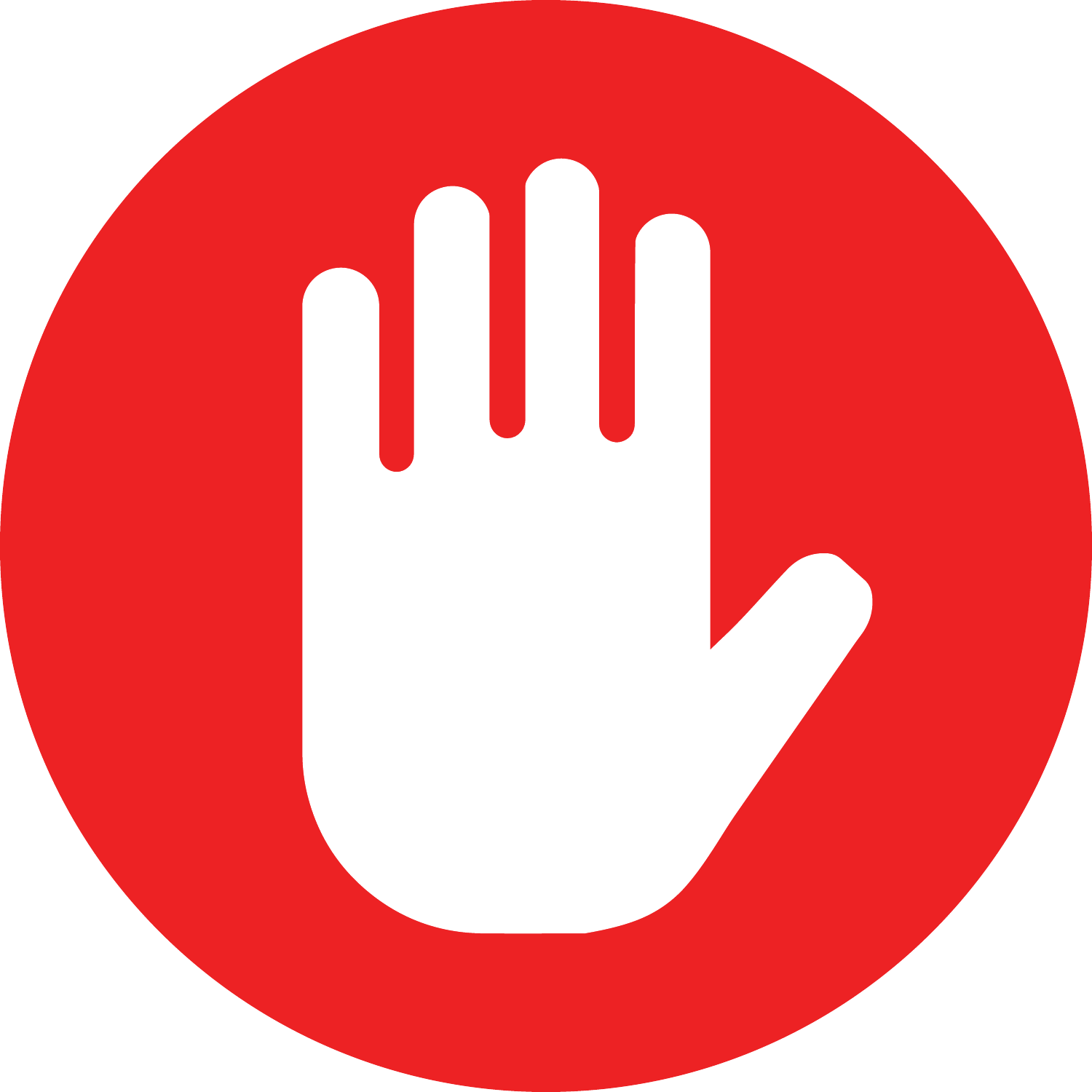